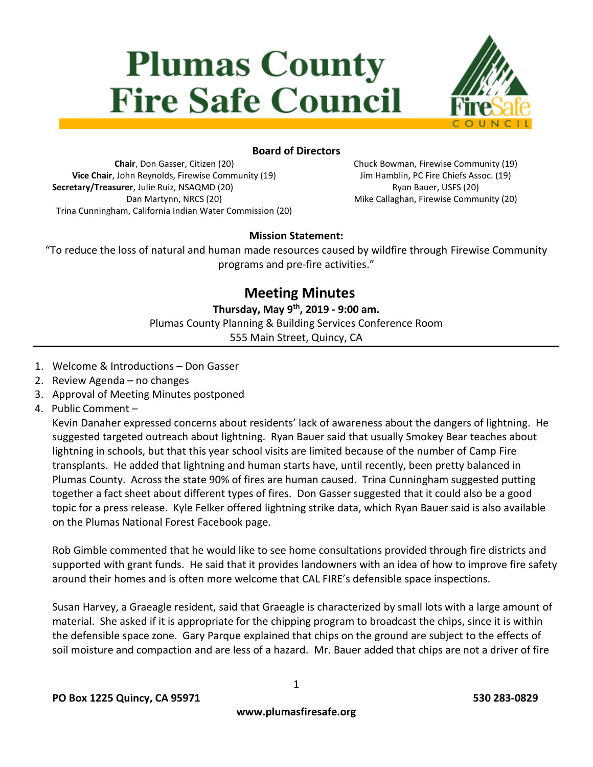# **Plumas County Fire Safe Council**



## **Board of Directors**

**Chair**, Don Gasser, Citizen (20) **Vice Chair**, John Reynolds, Firewise Community (19) **Secretary/Treasurer**, Julie Ruiz, NSAQMD (20) Dan Martynn, NRCS (20) Trina Cunningham, California Indian Water Commission (20) Chuck Bowman, Firewise Community (19) Jim Hamblin, PC Fire Chiefs Assoc. (19) Ryan Bauer, USFS (20) Mike Callaghan, Firewise Community (20)

## **Mission Statement:**

"To reduce the loss of natural and human made resources caused by wildfire through Firewise Community programs and pre-fire activities."

## **Meeting Minutes**

**Thursday, May 9th, 2019 - 9:00 am.** Plumas County Planning & Building Services Conference Room 555 Main Street, Quincy, CA

- 1. Welcome & Introductions Don Gasser
- 2. Review Agenda no changes
- 3. Approval of Meeting Minutes postponed
- 4. Public Comment –

Kevin Danaher expressed concerns about residents' lack of awareness about the dangers of lightning. He suggested targeted outreach about lightning. Ryan Bauer said that usually Smokey Bear teaches about lightning in schools, but that this year school visits are limited because of the number of Camp Fire transplants. He added that lightning and human starts have, until recently, been pretty balanced in Plumas County. Across the state 90% of fires are human caused. Trina Cunningham suggested putting together a fact sheet about different types of fires. Don Gasser suggested that it could also be a good topic for a press release. Kyle Felker offered lightning strike data, which Ryan Bauer said is also available on the Plumas National Forest Facebook page.

Rob Gimble commented that he would like to see home consultations provided through fire districts and supported with grant funds. He said that it provides landowners with an idea of how to improve fire safety around their homes and is often more welcome that CAL FIRE's defensible space inspections.

Susan Harvey, a Graeagle resident, said that Graeagle is characterized by small lots with a large amount of material. She asked if it is appropriate for the chipping program to broadcast the chips, since it is within the defensible space zone. Gary Parque explained that chips on the ground are subject to the effects of soil moisture and compaction and are less of a hazard. Mr. Bauer added that chips are not a driver of fire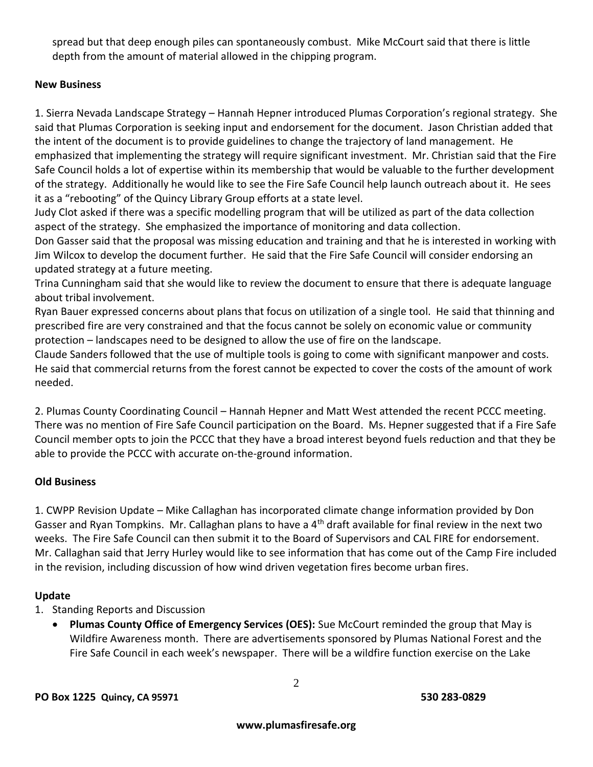spread but that deep enough piles can spontaneously combust. Mike McCourt said that there is little depth from the amount of material allowed in the chipping program.

## **New Business**

1. Sierra Nevada Landscape Strategy – Hannah Hepner introduced Plumas Corporation's regional strategy. She said that Plumas Corporation is seeking input and endorsement for the document. Jason Christian added that the intent of the document is to provide guidelines to change the trajectory of land management. He emphasized that implementing the strategy will require significant investment. Mr. Christian said that the Fire Safe Council holds a lot of expertise within its membership that would be valuable to the further development of the strategy. Additionally he would like to see the Fire Safe Council help launch outreach about it. He sees it as a "rebooting" of the Quincy Library Group efforts at a state level.

Judy Clot asked if there was a specific modelling program that will be utilized as part of the data collection aspect of the strategy. She emphasized the importance of monitoring and data collection.

Don Gasser said that the proposal was missing education and training and that he is interested in working with Jim Wilcox to develop the document further. He said that the Fire Safe Council will consider endorsing an updated strategy at a future meeting.

Trina Cunningham said that she would like to review the document to ensure that there is adequate language about tribal involvement.

Ryan Bauer expressed concerns about plans that focus on utilization of a single tool. He said that thinning and prescribed fire are very constrained and that the focus cannot be solely on economic value or community protection – landscapes need to be designed to allow the use of fire on the landscape.

Claude Sanders followed that the use of multiple tools is going to come with significant manpower and costs. He said that commercial returns from the forest cannot be expected to cover the costs of the amount of work needed.

2. Plumas County Coordinating Council – Hannah Hepner and Matt West attended the recent PCCC meeting. There was no mention of Fire Safe Council participation on the Board. Ms. Hepner suggested that if a Fire Safe Council member opts to join the PCCC that they have a broad interest beyond fuels reduction and that they be able to provide the PCCC with accurate on-the-ground information.

## **Old Business**

1. CWPP Revision Update – Mike Callaghan has incorporated climate change information provided by Don Gasser and Ryan Tompkins. Mr. Callaghan plans to have a  $4<sup>th</sup>$  draft available for final review in the next two weeks. The Fire Safe Council can then submit it to the Board of Supervisors and CAL FIRE for endorsement. Mr. Callaghan said that Jerry Hurley would like to see information that has come out of the Camp Fire included in the revision, including discussion of how wind driven vegetation fires become urban fires.

#### **Update**

- 1. Standing Reports and Discussion
	- **Plumas County Office of Emergency Services (OES):** Sue McCourt reminded the group that May is Wildfire Awareness month. There are advertisements sponsored by Plumas National Forest and the Fire Safe Council in each week's newspaper. There will be a wildfire function exercise on the Lake

2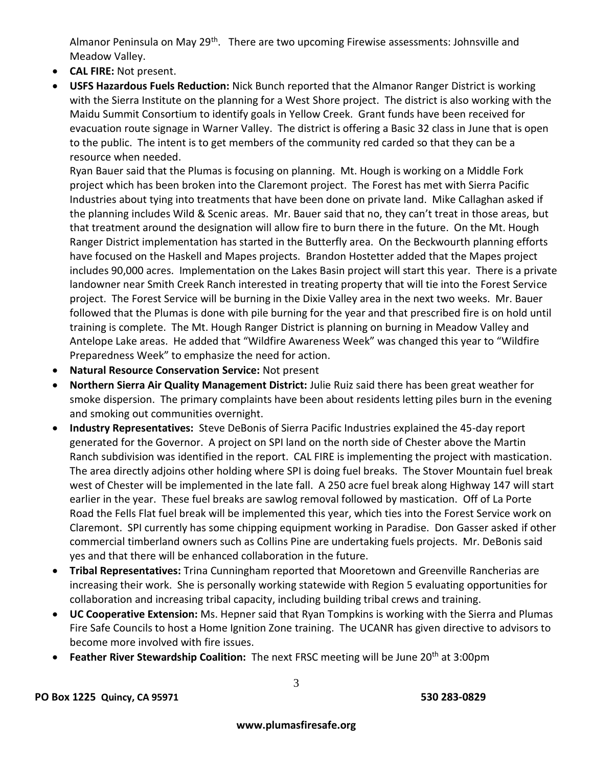Almanor Peninsula on May 29<sup>th</sup>. There are two upcoming Firewise assessments: Johnsville and Meadow Valley.

- **CAL FIRE:** Not present.
- **USFS Hazardous Fuels Reduction:** Nick Bunch reported that the Almanor Ranger District is working with the Sierra Institute on the planning for a West Shore project. The district is also working with the Maidu Summit Consortium to identify goals in Yellow Creek. Grant funds have been received for evacuation route signage in Warner Valley. The district is offering a Basic 32 class in June that is open to the public. The intent is to get members of the community red carded so that they can be a resource when needed.

Ryan Bauer said that the Plumas is focusing on planning. Mt. Hough is working on a Middle Fork project which has been broken into the Claremont project. The Forest has met with Sierra Pacific Industries about tying into treatments that have been done on private land. Mike Callaghan asked if the planning includes Wild & Scenic areas. Mr. Bauer said that no, they can't treat in those areas, but that treatment around the designation will allow fire to burn there in the future. On the Mt. Hough Ranger District implementation has started in the Butterfly area. On the Beckwourth planning efforts have focused on the Haskell and Mapes projects. Brandon Hostetter added that the Mapes project includes 90,000 acres. Implementation on the Lakes Basin project will start this year. There is a private landowner near Smith Creek Ranch interested in treating property that will tie into the Forest Service project. The Forest Service will be burning in the Dixie Valley area in the next two weeks. Mr. Bauer followed that the Plumas is done with pile burning for the year and that prescribed fire is on hold until training is complete. The Mt. Hough Ranger District is planning on burning in Meadow Valley and Antelope Lake areas. He added that "Wildfire Awareness Week" was changed this year to "Wildfire Preparedness Week" to emphasize the need for action.

- **Natural Resource Conservation Service:** Not present
- **Northern Sierra Air Quality Management District:** Julie Ruiz said there has been great weather for smoke dispersion. The primary complaints have been about residents letting piles burn in the evening and smoking out communities overnight.
- **Industry Representatives:** Steve DeBonis of Sierra Pacific Industries explained the 45-day report generated for the Governor. A project on SPI land on the north side of Chester above the Martin Ranch subdivision was identified in the report. CAL FIRE is implementing the project with mastication. The area directly adjoins other holding where SPI is doing fuel breaks. The Stover Mountain fuel break west of Chester will be implemented in the late fall. A 250 acre fuel break along Highway 147 will start earlier in the year. These fuel breaks are sawlog removal followed by mastication. Off of La Porte Road the Fells Flat fuel break will be implemented this year, which ties into the Forest Service work on Claremont. SPI currently has some chipping equipment working in Paradise. Don Gasser asked if other commercial timberland owners such as Collins Pine are undertaking fuels projects. Mr. DeBonis said yes and that there will be enhanced collaboration in the future.
- **Tribal Representatives:** Trina Cunningham reported that Mooretown and Greenville Rancherias are increasing their work. She is personally working statewide with Region 5 evaluating opportunities for collaboration and increasing tribal capacity, including building tribal crews and training.
- **UC Cooperative Extension:** Ms. Hepner said that Ryan Tompkins is working with the Sierra and Plumas Fire Safe Councils to host a Home Ignition Zone training. The UCANR has given directive to advisors to become more involved with fire issues.
- **Feather River Stewardship Coalition:** The next FRSC meeting will be June 20<sup>th</sup> at 3:00pm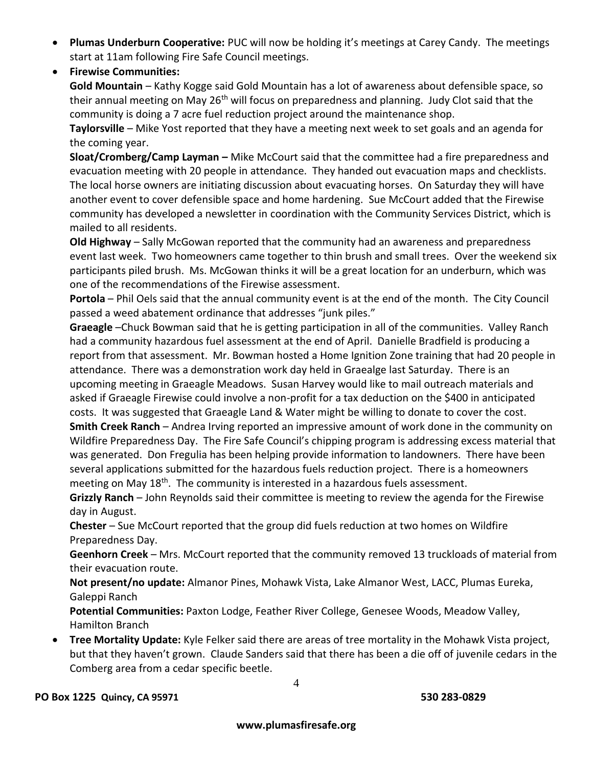- **Plumas Underburn Cooperative:** PUC will now be holding it's meetings at Carey Candy. The meetings start at 11am following Fire Safe Council meetings.
- **Firewise Communities:**

**Gold Mountain** – Kathy Kogge said Gold Mountain has a lot of awareness about defensible space, so their annual meeting on May 26<sup>th</sup> will focus on preparedness and planning. Judy Clot said that the community is doing a 7 acre fuel reduction project around the maintenance shop.

**Taylorsville** – Mike Yost reported that they have a meeting next week to set goals and an agenda for the coming year.

**Sloat/Cromberg/Camp Layman –** Mike McCourt said that the committee had a fire preparedness and evacuation meeting with 20 people in attendance. They handed out evacuation maps and checklists. The local horse owners are initiating discussion about evacuating horses. On Saturday they will have another event to cover defensible space and home hardening. Sue McCourt added that the Firewise community has developed a newsletter in coordination with the Community Services District, which is mailed to all residents.

**Old Highway** – Sally McGowan reported that the community had an awareness and preparedness event last week. Two homeowners came together to thin brush and small trees. Over the weekend six participants piled brush. Ms. McGowan thinks it will be a great location for an underburn, which was one of the recommendations of the Firewise assessment.

**Portola** – Phil Oels said that the annual community event is at the end of the month. The City Council passed a weed abatement ordinance that addresses "junk piles."

**Graeagle** –Chuck Bowman said that he is getting participation in all of the communities. Valley Ranch had a community hazardous fuel assessment at the end of April. Danielle Bradfield is producing a report from that assessment. Mr. Bowman hosted a Home Ignition Zone training that had 20 people in attendance. There was a demonstration work day held in Graealge last Saturday. There is an upcoming meeting in Graeagle Meadows. Susan Harvey would like to mail outreach materials and asked if Graeagle Firewise could involve a non-profit for a tax deduction on the \$400 in anticipated costs. It was suggested that Graeagle Land & Water might be willing to donate to cover the cost. **Smith Creek Ranch** – Andrea Irving reported an impressive amount of work done in the community on Wildfire Preparedness Day. The Fire Safe Council's chipping program is addressing excess material that was generated. Don Fregulia has been helping provide information to landowners. There have been several applications submitted for the hazardous fuels reduction project. There is a homeowners meeting on May  $18<sup>th</sup>$ . The community is interested in a hazardous fuels assessment.

**Grizzly Ranch** – John Reynolds said their committee is meeting to review the agenda for the Firewise day in August.

**Chester** – Sue McCourt reported that the group did fuels reduction at two homes on Wildfire Preparedness Day.

**Geenhorn Creek** – Mrs. McCourt reported that the community removed 13 truckloads of material from their evacuation route.

**Not present/no update:** Almanor Pines, Mohawk Vista, Lake Almanor West, LACC, Plumas Eureka, Galeppi Ranch

**Potential Communities:** Paxton Lodge, Feather River College, Genesee Woods, Meadow Valley, Hamilton Branch

 **Tree Mortality Update:** Kyle Felker said there are areas of tree mortality in the Mohawk Vista project, but that they haven't grown. Claude Sanders said that there has been a die off of juvenile cedars in the Comberg area from a cedar specific beetle.

4